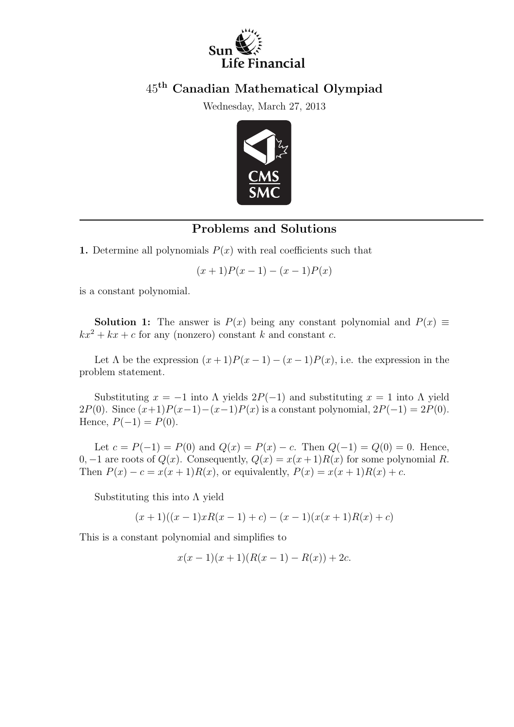

### 45th Canadian Mathematical Olympiad

Wednesday, March 27, 2013



#### Problems and Solutions

1. Determine all polynomials  $P(x)$  with real coefficients such that

$$
(x+1)P(x-1) - (x-1)P(x)
$$

is a constant polynomial.

**Solution 1:** The answer is  $P(x)$  being any constant polynomial and  $P(x) \equiv$  $kx^2 + kx + c$  for any (nonzero) constant k and constant c.

Let  $\Lambda$  be the expression  $(x + 1)P(x - 1) - (x - 1)P(x)$ , i.e. the expression in the problem statement.

Substituting  $x = -1$  into  $\Lambda$  yields  $2P(-1)$  and substituting  $x = 1$  into  $\Lambda$  yield 2 $P(0)$ . Since  $(x+1)P(x-1)-(x-1)P(x)$  is a constant polynomial,  $2P(-1) = 2P(0)$ . Hence,  $P(-1) = P(0)$ .

Let  $c = P(-1) = P(0)$  and  $Q(x) = P(x) - c$ . Then  $Q(-1) = Q(0) = 0$ . Hence, 0, -1 are roots of  $Q(x)$ . Consequently,  $Q(x) = x(x+1)R(x)$  for some polynomial R. Then  $P(x) - c = x(x+1)R(x)$ , or equivalently,  $P(x) = x(x+1)R(x) + c$ .

Substituting this into  $\Lambda$  yield

 $(x + 1)((x - 1)xR(x - 1) + c) - (x - 1)(x(x + 1)R(x) + c)$ 

This is a constant polynomial and simplifies to

$$
x(x-1)(x+1)(R(x-1) - R(x)) + 2c.
$$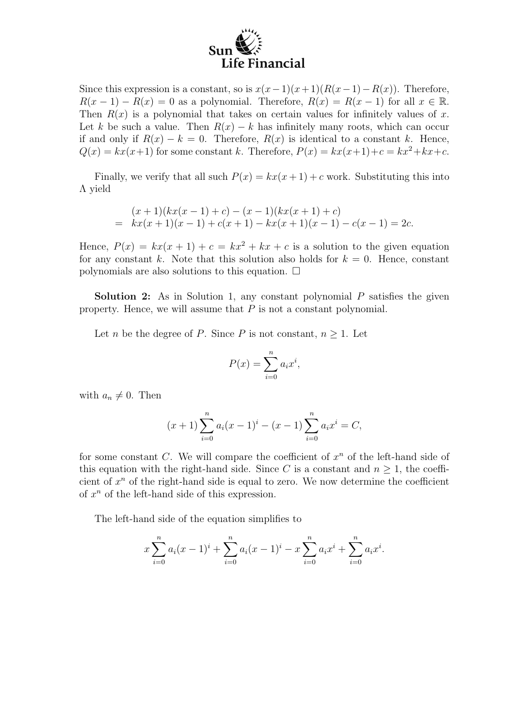# Life Financial

Since this expression is a constant, so is  $x(x-1)(x+1)(R(x-1)-R(x))$ . Therefore,  $R(x-1) - R(x) = 0$  as a polynomial. Therefore,  $R(x) = R(x-1)$  for all  $x \in \mathbb{R}$ . Then  $R(x)$  is a polynomial that takes on certain values for infinitely values of x. Let k be such a value. Then  $R(x) - k$  has infinitely many roots, which can occur if and only if  $R(x) - k = 0$ . Therefore,  $R(x)$  is identical to a constant k. Hence,  $Q(x) = kx(x+1)$  for some constant k. Therefore,  $P(x) = kx(x+1)+c = kx^2+kx+c$ .

Finally, we verify that all such  $P(x) = kx(x+1) + c$  work. Substituting this into Λ yield

$$
(x+1)(kx(x-1)+c) - (x-1)(kx(x+1)+c)
$$
  
=  $kx(x+1)(x-1) + c(x+1) - kx(x+1)(x-1) - c(x-1) = 2c.$ 

Hence,  $P(x) = kx(x+1) + c = kx^2 + kx + c$  is a solution to the given equation for any constant k. Note that this solution also holds for  $k = 0$ . Hence, constant polynomials are also solutions to this equation.  $\Box$ 

**Solution 2:** As in Solution 1, any constant polynomial  $P$  satisfies the given property. Hence, we will assume that  $P$  is not a constant polynomial.

Let *n* be the degree of *P*. Since *P* is not constant,  $n \geq 1$ . Let

$$
P(x) = \sum_{i=0}^{n} a_i x^i,
$$

with  $a_n \neq 0$ . Then

$$
(x+1)\sum_{i=0}^{n} a_i(x-1)^i - (x-1)\sum_{i=0}^{n} a_i x^i = C,
$$

for some constant  $C$ . We will compare the coefficient of  $x^n$  of the left-hand side of this equation with the right-hand side. Since C is a constant and  $n \geq 1$ , the coefficient of  $x^n$  of the right-hand side is equal to zero. We now determine the coefficient of  $x^n$  of the left-hand side of this expression.

The left-hand side of the equation simplifies to

$$
x\sum_{i=0}^{n} a_i(x-1)^i + \sum_{i=0}^{n} a_i(x-1)^i - x\sum_{i=0}^{n} a_i x^i + \sum_{i=0}^{n} a_i x^i.
$$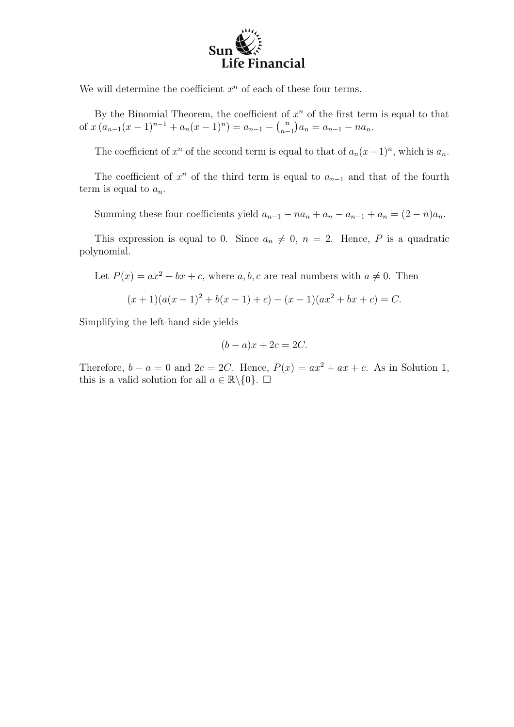# Life Financial

We will determine the coefficient  $x^n$  of each of these four terms.

By the Binomial Theorem, the coefficient of  $x^n$  of the first term is equal to that of  $x (a_{n-1}(x-1)^{n-1} + a_n(x-1)^n) = a_{n-1} - {n \choose n-1}$  ${n \choose n-1} a_n = a_{n-1} - n a_n.$ 

The coefficient of  $x^n$  of the second term is equal to that of  $a_n(x-1)^n$ , which is  $a_n$ .

The coefficient of  $x^n$  of the third term is equal to  $a_{n-1}$  and that of the fourth term is equal to  $a_n$ .

Summing these four coefficients yield  $a_{n-1} - na_n + a_n - a_{n-1} + a_n = (2 - n)a_n$ .

This expression is equal to 0. Since  $a_n \neq 0$ ,  $n = 2$ . Hence, P is a quadratic polynomial.

Let  $P(x) = ax^2 + bx + c$ , where a, b, c are real numbers with  $a \neq 0$ . Then

$$
(x+1)(a(x-1)2 + b(x-1) + c) - (x - 1)(ax2 + bx + c) = C.
$$

Simplifying the left-hand side yields

$$
(b-a)x + 2c = 2C.
$$

Therefore,  $b - a = 0$  and  $2c = 2C$ . Hence,  $P(x) = ax^2 + ax + c$ . As in Solution 1, this is a valid solution for all  $a \in \mathbb{R} \backslash \{0\}$ .  $\Box$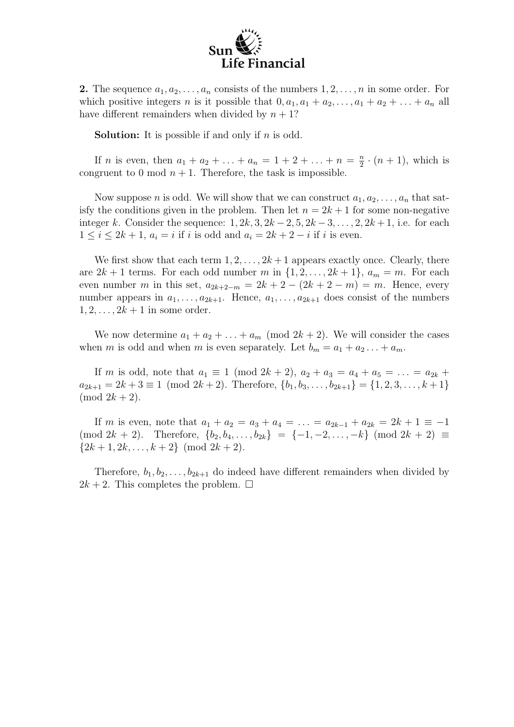

**2.** The sequence  $a_1, a_2, \ldots, a_n$  consists of the numbers  $1, 2, \ldots, n$  in some order. For which positive integers n is it possible that  $0, a_1, a_1 + a_2, \ldots, a_1 + a_2 + \ldots + a_n$  all have different remainders when divided by  $n + 1$ ?

**Solution:** It is possible if and only if  $n$  is odd.

If *n* is even, then  $a_1 + a_2 + \ldots + a_n = 1 + 2 + \ldots + n = \frac{n}{2}$  $\frac{n}{2} \cdot (n+1)$ , which is congruent to 0 mod  $n + 1$ . Therefore, the task is impossible.

Now suppose *n* is odd. We will show that we can construct  $a_1, a_2, \ldots, a_n$  that satisfy the conditions given in the problem. Then let  $n = 2k + 1$  for some non-negative integer k. Consider the sequence:  $1, 2k, 3, 2k-2, 5, 2k-3, \ldots, 2, 2k+1$ , i.e. for each  $1 \leq i \leq 2k+1$ ,  $a_i = i$  if i is odd and  $a_i = 2k+2-i$  if i is even.

We first show that each term  $1, 2, \ldots, 2k+1$  appears exactly once. Clearly, there are  $2k + 1$  terms. For each odd number m in  $\{1, 2, \ldots, 2k + 1\}$ ,  $a_m = m$ . For each even number m in this set,  $a_{2k+2-m} = 2k + 2 - (2k + 2 - m) = m$ . Hence, every number appears in  $a_1, \ldots, a_{2k+1}$ . Hence,  $a_1, \ldots, a_{2k+1}$  does consist of the numbers  $1, 2, \ldots, 2k+1$  in some order.

We now determine  $a_1 + a_2 + \ldots + a_m \pmod{2k+2}$ . We will consider the cases when m is odd and when m is even separately. Let  $b_m = a_1 + a_2 \ldots + a_m$ .

If m is odd, note that  $a_1 \equiv 1 \pmod{2k+2}$ ,  $a_2 + a_3 = a_4 + a_5 = \ldots = a_{2k} + a_{2k}$  $a_{2k+1} = 2k + 3 \equiv 1 \pmod{2k+2}$ . Therefore,  $\{b_1, b_3, \ldots, b_{2k+1}\} = \{1, 2, 3, \ldots, k+1\}$  $\pmod{2k+2}$ .

If m is even, note that  $a_1 + a_2 = a_3 + a_4 = \ldots = a_{2k-1} + a_{2k} = 2k+1 \equiv -1$  $(\text{mod } 2k + 2)$ . Therefore,  $\{b_2, b_4, \ldots, b_{2k}\} = \{-1, -2, \ldots, -k\}$   $(\text{mod } 2k + 2) \equiv$  $\{2k+1, 2k, \ldots, k+2\} \pmod{2k+2}$ .

Therefore,  $b_1, b_2, \ldots, b_{2k+1}$  do indeed have different remainders when divided by  $2k + 2$ . This completes the problem.  $\square$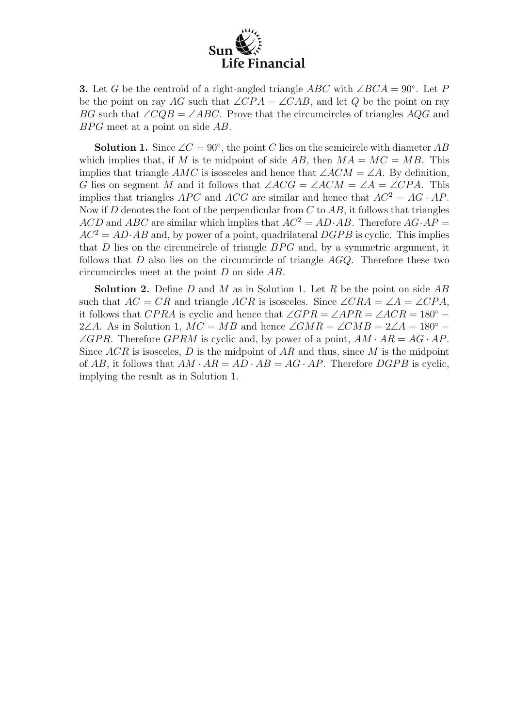

**3.** Let G be the centroid of a right-angled triangle ABC with  $\angle BCA = 90^\circ$ . Let P be the point on ray AG such that  $\angle CPA = \angle CAB$ , and let Q be the point on ray BG such that  $\angle CQB = \angle ABC$ . Prove that the circumcircles of triangles AQG and  $BPG$  meet at a point on side  $AB$ .

**Solution 1.** Since  $\angle C = 90^\circ$ , the point C lies on the semicircle with diameter AB which implies that, if M is te midpoint of side AB, then  $MA = MC = MB$ . This implies that triangle AMC is isosceles and hence that  $\angle ACM = \angle A$ . By definition, G lies on segment M and it follows that  $\angle ACG = \angle ACM = \angle A = \angle CPA$ . This implies that triangles APC and ACG are similar and hence that  $AC^2 = AG \cdot AP$ . Now if  $D$  denotes the foot of the perpendicular from  $C$  to  $AB$ , it follows that triangles ACD and ABC are similar which implies that  $AC^2 = AD \cdot AB$ . Therefore  $AG \cdot AP =$  $AC^2 = AD \cdot AB$  and, by power of a point, quadrilateral  $DGPB$  is cyclic. This implies that  $D$  lies on the circumcircle of triangle  $BPG$  and, by a symmetric argument, it follows that D also lies on the circumcircle of triangle  $AGQ$ . Therefore these two circumcircles meet at the point D on side AB.

**Solution 2.** Define D and M as in Solution 1. Let R be the point on side  $AB$ such that  $AC = CR$  and triangle ACR is isosceles. Since  $\angle CRA = \angle A = \angle CPA$ , it follows that  $CPRA$  is cyclic and hence that  $\angle GPR = \angle APR = \angle ACR = 180^{\circ} -$ 2∠A. As in Solution 1,  $MC = MB$  and hence  $\angle GMR = \angle CMB = 2\angle A = 180^{\circ} \angle GPR$ . Therefore  $\angle GPRM$  is cyclic and, by power of a point,  $AM \cdot AR = AG \cdot AP$ . Since  $ACR$  is isosceles, D is the midpoint of AR and thus, since M is the midpoint of AB, it follows that  $AM \cdot AR = AD \cdot AB = AG \cdot AP$ . Therefore  $DGPB$  is cyclic, implying the result as in Solution 1.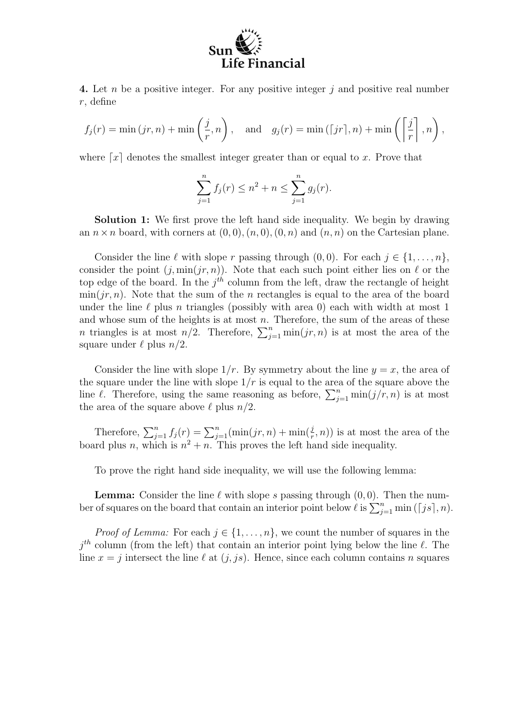

4. Let n be a positive integer. For any positive integer j and positive real number r, define

$$
f_j(r) = \min(jr, n) + \min\left(\frac{j}{r}, n\right)
$$
, and  $g_j(r) = \min(\lceil jr\rceil, n) + \min\left(\left\lceil \frac{j}{r} \right\rceil, n\right)$ ,

where  $\lceil x \rceil$  denotes the smallest integer greater than or equal to x. Prove that

$$
\sum_{j=1}^{n} f_j(r) \le n^2 + n \le \sum_{j=1}^{n} g_j(r).
$$

Solution 1: We first prove the left hand side inequality. We begin by drawing an  $n \times n$  board, with corners at  $(0, 0), (n, 0), (0, n)$  and  $(n, n)$  on the Cartesian plane.

Consider the line  $\ell$  with slope r passing through  $(0, 0)$ . For each  $j \in \{1, ..., n\}$ , consider the point  $(j, \min(jr, n))$ . Note that each such point either lies on  $\ell$  or the top edge of the board. In the  $j<sup>th</sup>$  column from the left, draw the rectangle of height  $\min(jr, n)$ . Note that the sum of the n rectangles is equal to the area of the board under the line  $\ell$  plus n triangles (possibly with area 0) each with width at most 1 and whose sum of the heights is at most  $n$ . Therefore, the sum of the areas of these and whose sum of the neights is at most n. Therefore, the sum of the areas of the neighborhood is at most  $n/2$ . Therefore,  $\sum_{j=1}^{n} \min(jr, n)$  is at most the area of the square under  $\ell$  plus  $n/2$ .

Consider the line with slope  $1/r$ . By symmetry about the line  $y = x$ , the area of the square under the line with slope  $1/r$  is equal to the area of the square above the line  $\ell$ . Therefore, using the same reasoning as before,  $\sum_{j=1}^{n} \min(j/r, n)$  is at most the area of the square above  $\ell$  plus  $n/2$ .

Therefore,  $\sum_{j=1}^{n} f_j(r) = \sum_{j=1}^{n} (\min(jr, n) + \min(\frac{j}{r}, n))$  is at most the area of the board plus n, which is  $n^2 + n$ . This proves the left hand side inequality.

To prove the right hand side inequality, we will use the following lemma:

**Lemma:** Consider the line  $\ell$  with slope s passing through  $(0, 0)$ . Then the num-**Lemma:** Consider the line  $\ell$  with slope s passing through  $(0,0)$ . Then the number of squares on the board that contain an interior point below  $\ell$  is  $\sum_{j=1}^{n} \min\left(\lceil js \rceil, n\right)$ .

*Proof of Lemma:* For each  $j \in \{1, \ldots, n\}$ , we count the number of squares in the  $j<sup>th</sup>$  column (from the left) that contain an interior point lying below the line  $\ell$ . The line  $x = j$  intersect the line  $\ell$  at  $(j, js)$ . Hence, since each column contains n squares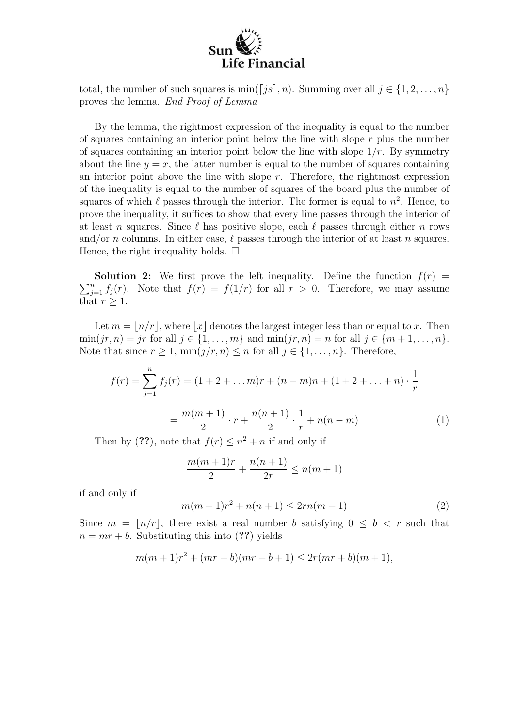

total, the number of such squares is  $\min(\lceil js \rceil, n)$ . Summing over all  $j \in \{1, 2, ..., n\}$ proves the lemma. End Proof of Lemma

By the lemma, the rightmost expression of the inequality is equal to the number of squares containing an interior point below the line with slope  $r$  plus the number of squares containing an interior point below the line with slope  $1/r$ . By symmetry about the line  $y = x$ , the latter number is equal to the number of squares containing an interior point above the line with slope  $r$ . Therefore, the rightmost expression of the inequality is equal to the number of squares of the board plus the number of squares of which  $\ell$  passes through the interior. The former is equal to  $n^2$ . Hence, to prove the inequality, it suffices to show that every line passes through the interior of at least n squares. Since  $\ell$  has positive slope, each  $\ell$  passes through either n rows and/or *n* columns. In either case,  $\ell$  passes through the interior of at least *n* squares. Hence, the right inequality holds.  $\Box$ 

**Solution 2:** We first prove the felt inequality. Define the function  $f(r) = \sum_{j=1}^{n} f_j(r)$ . Note that  $f(r) = f(1/r)$  for all  $r > 0$ . Therefore, we may assume **Solution 2:** We first prove the left inequality. Define the function  $f(r)$  = that  $r > 1$ .

Let  $m = |n/r|$ , where |x| denotes the largest integer less than or equal to x. Then  $\min(jr, n) = jr$  for all  $j \in \{1, ..., m\}$  and  $\min(jr, n) = n$  for all  $j \in \{m + 1, ..., n\}$ . Note that since  $r \geq 1$ ,  $\min(j/r, n) \leq n$  for all  $j \in \{1, ..., n\}$ . Therefore,

$$
f(r) = \sum_{j=1}^{n} f_j(r) = (1 + 2 + \dots m)r + (n - m)n + (1 + 2 + \dots + n) \cdot \frac{1}{r}
$$

$$
= \frac{m(m+1)}{2} \cdot r + \frac{n(n+1)}{2} \cdot \frac{1}{r} + n(n - m)
$$
(1)

Then by (??), note that  $f(r) \leq n^2 + n$  if and only if

$$
\frac{m(m+1)r}{2} + \frac{n(n+1)}{2r} \le n(m+1)
$$

if and only if

$$
m(m+1)r^2 + n(n+1) \le 2rn(m+1)
$$
 (2)

Since  $m = |n/r|$ , there exist a real number b satisfying  $0 \leq b < r$  such that  $n = mr + b$ . Substituting this into (??) yields

$$
m(m+1)r^{2} + (mr+b)(mr+b+1) \le 2r(mr+b)(m+1),
$$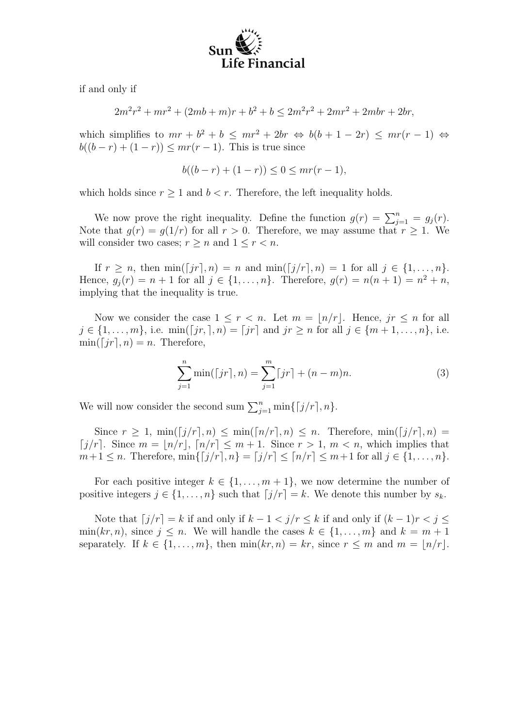

if and only if

$$
2m2r2 + mr2 + (2mb + m)r + b2 + b \le 2m2r2 + 2mr2 + 2mbr + 2br,
$$

which simplifies to  $mr + b^2 + b \leq mr^2 + 2br \Leftrightarrow b(b+1-2r) \leq mr(r-1) \Leftrightarrow$  $b((b - r) + (1 - r)) \leq mr(r - 1)$ . This is true since

$$
b((b-r) + (1-r)) \le 0 \le mr(r-1),
$$

which holds since  $r \geq 1$  and  $b < r$ . Therefore, the left inequality holds.

We now prove the right inequality. Define the function  $g(r) = \sum_{j=1}^{n} = g_j(r)$ . Note that  $g(r) = g(1/r)$  for all  $r > 0$ . Therefore, we may assume that  $r \geq 1$ . We will consider two cases;  $r \geq n$  and  $1 \leq r < n$ .

If  $r \geq n$ , then  $\min([jr], n) = n$  and  $\min([j/r], n) = 1$  for all  $j \in \{1, \ldots, n\}$ . Hence,  $g_j(r) = n + 1$  for all  $j \in \{1, ..., n\}$ . Therefore,  $g(r) = n(n + 1) = n^2 + n$ , implying that the inequality is true.

Now we consider the case  $1 \leq r < n$ . Let  $m = |n/r|$ . Hence,  $jr \leq n$  for all  $j \in \{1, ..., m\}$ , i.e. min( $[jr, ..., n]$ ) =  $[jr]$  and  $jr \geq n$  for all  $j \in \{m+1, ..., n\}$ , i.e.  $\min(\lceil jr \rceil, n) = n$ . Therefore,

$$
\sum_{j=1}^{n} \min(\lceil jr \rceil, n) = \sum_{j=1}^{m} \lceil jr \rceil + (n-m)n. \tag{3}
$$

We will now consider the second sum  $\sum_{j=1}^{n} \min\{ [j/r], n \}.$ 

Since  $r \geq 1$ ,  $\min\left(\frac{f}{r}, n\right) \leq \min\left(\frac{f}{n}, n\right) \leq n$ . Therefore,  $\min\left(\frac{f}{n}, n\right) =$ [j/r]. Since  $m = \lfloor n/r \rfloor$ ,  $\lceil n/r \rceil \leq m + 1$ . Since  $r > 1$ ,  $m < n$ , which implies that  $m+1 \leq n$ . Therefore,  $\min\{[j/r], n\} = [j/r] \leq [n/r] \leq m+1$  for all  $j \in \{1, ..., n\}$ .

For each positive integer  $k \in \{1, \ldots, m+1\}$ , we now determine the number of positive integers  $j \in \{1, ..., n\}$  such that  $\lfloor j/r \rfloor = k$ . We denote this number by  $s_k$ .

Note that  $\lfloor j/r \rfloor = k$  if and only if  $k - 1 < j/r \le k$  if and only if  $(k - 1)r < j \le k$  $\min(kr, n)$ , since  $j \leq n$ . We will handle the cases  $k \in \{1, \ldots, m\}$  and  $k = m + 1$ separately. If  $k \in \{1, \ldots, m\}$ , then  $\min(kr, n) = kr$ , since  $r \leq m$  and  $m = \lfloor n/r \rfloor$ .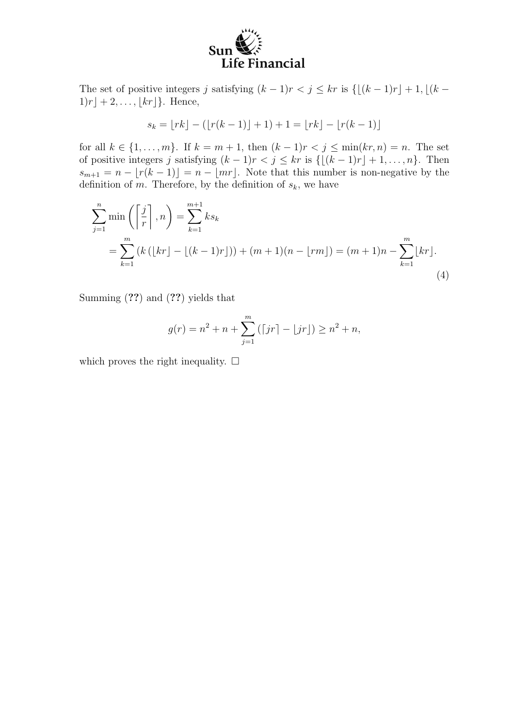

The set of positive integers j satisfying  $(k - 1)r < j \le kr$  is  $\{[(k - 1)r] + 1, [(k - 1)r] + 1, [(k - 1)r] + 1, [(k - 1)r] + 1, [(k - 1)r] + 1, [(k - 1)r] + 1, [(k - 1)r] + 1, [(k - 1)r] + 1, [(k - 1)r] + 1, [(k - 1)r] + 1, [(k - 1)r] + 1,$  $1)r \rbrack + 2, \ldots, \lfloor kr \rfloor}.$  Hence,

$$
s_k = \lfloor rk \rfloor - (\lfloor r(k-1) \rfloor + 1) + 1 = \lfloor rk \rfloor - \lfloor r(k-1) \rfloor
$$

for all  $k \in \{1, ..., m\}$ . If  $k = m + 1$ , then  $(k - 1)r < j \le \min(kr, n) = n$ . The set of positive integers j satisfying  $(k - 1)r < j \le kr$  is  $\{[(k - 1)r] + 1, \ldots, n\}$ . Then  $s_{m+1} = n - \lfloor r(k-1) \rfloor = n - \lfloor mr \rfloor$ . Note that this number is non-negative by the definition of m. Therefore, by the definition of  $s_k$ , we have

$$
\sum_{j=1}^{n} \min\left(\left[\frac{j}{r}\right], n\right) = \sum_{k=1}^{m+1} k s_k
$$
  
= 
$$
\sum_{k=1}^{m} \left(k\left(\lfloor kr \rfloor - \lfloor (k-1)r \rfloor\right)\right) + (m+1)(n - \lfloor rm \rfloor) = (m+1)n - \sum_{k=1}^{m} \lfloor kr \rfloor.
$$
 (4)

Summing (??) and (??) yields that

$$
g(r) = n^{2} + n + \sum_{j=1}^{m} ([jr] - \lfloor jr \rfloor) \ge n^{2} + n,
$$

which proves the right inequality.  $\Box$